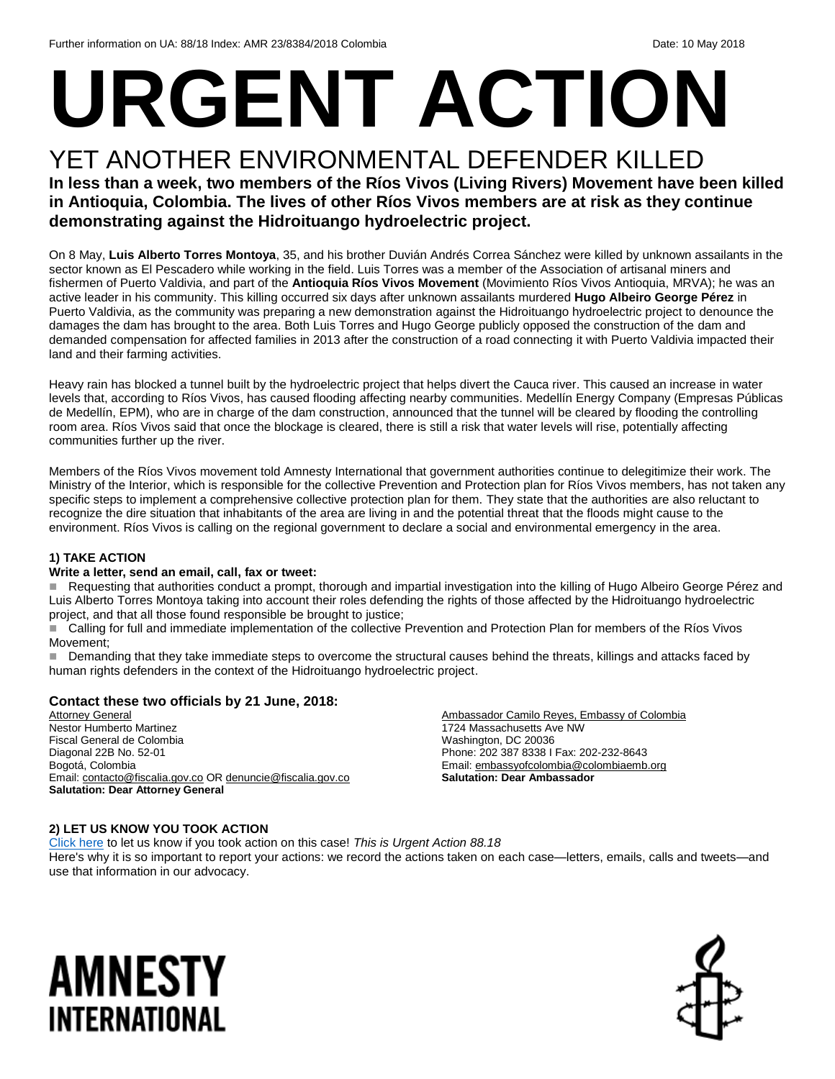# **URGENT ACTION**

### YET ANOTHER ENVIRONMENTAL DEFENDER KILLED

**In less than a week, two members of the Ríos Vivos (Living Rivers) Movement have been killed in Antioquia, Colombia. The lives of other Ríos Vivos members are at risk as they continue demonstrating against the Hidroituango hydroelectric project.**

On 8 May, **Luis Alberto Torres Montoya**, 35, and his brother Duvián Andrés Correa Sánchez were killed by unknown assailants in the sector known as El Pescadero while working in the field. Luis Torres was a member of the Association of artisanal miners and fishermen of Puerto Valdivia, and part of the **Antioquia Ríos Vivos Movement** (Movimiento Ríos Vivos Antioquia, MRVA); he was an active leader in his community. This killing occurred six days after unknown assailants murdered **Hugo Albeiro George Pérez** in Puerto Valdivia, as the community was preparing a new demonstration against the Hidroituango hydroelectric project to denounce the damages the dam has brought to the area. Both Luis Torres and Hugo George publicly opposed the construction of the dam and demanded compensation for affected families in 2013 after the construction of a road connecting it with Puerto Valdivia impacted their land and their farming activities.

Heavy rain has blocked a tunnel built by the hydroelectric project that helps divert the Cauca river. This caused an increase in water levels that, according to Ríos Vivos, has caused flooding affecting nearby communities. Medellín Energy Company (Empresas Públicas de Medellín, EPM), who are in charge of the dam construction, announced that the tunnel will be cleared by flooding the controlling room area. Ríos Vivos said that once the blockage is cleared, there is still a risk that water levels will rise, potentially affecting communities further up the river.

Members of the Ríos Vivos movement told Amnesty International that government authorities continue to delegitimize their work. The Ministry of the Interior, which is responsible for the collective Prevention and Protection plan for Ríos Vivos members, has not taken any specific steps to implement a comprehensive collective protection plan for them. They state that the authorities are also reluctant to recognize the dire situation that inhabitants of the area are living in and the potential threat that the floods might cause to the environment. Ríos Vivos is calling on the regional government to declare a social and environmental emergency in the area.

#### **1) TAKE ACTION**

#### **Write a letter, send an email, call, fax or tweet:**

Requesting that authorities conduct a prompt, thorough and impartial investigation into the killing of Hugo Albeiro George Pérez and Luis Alberto Torres Montoya taking into account their roles defending the rights of those affected by the Hidroituango hydroelectric project, and that all those found responsible be brought to justice;

 Calling for full and immediate implementation of the collective Prevention and Protection Plan for members of the Ríos Vivos Movement;

Demanding that they take immediate steps to overcome the structural causes behind the threats, killings and attacks faced by human rights defenders in the context of the Hidroituango hydroelectric project.

#### **Contact these two officials by 21 June, 2018:**

Attorney General Nestor Humberto Martinez Fiscal General de Colombia Diagonal 22B No. 52-01 Bogotá, Colombia Email[: contacto@fiscalia.gov.co](mailto:contacto@fiscalia.gov.co) OR [denuncie@fiscalia.gov.co](mailto:denuncie@fiscalia.gov.co) **Salutation: Dear Attorney General**

Ambassador Camilo Reyes, Embassy of Colombia 1724 Massachusetts Ave NW Washington, DC 20036 Phone: 202 387 8338 I Fax: 202-232-8643 Email[: embassyofcolombia@colombiaemb.org](mailto:embassyofcolombia@colombiaemb.org) **Salutation: Dear Ambassador**

#### **2) LET US KNOW YOU TOOK ACTION**

[Click here](https://www.amnestyusa.org/report-urgent-actions/) to let us know if you took action on this case! *This is Urgent Action 88.18* Here's why it is so important to report your actions: we record the actions taken on each case—letters, emails, calls and tweets—and use that information in our advocacy.

## AMNESTY INTERNATIONAL